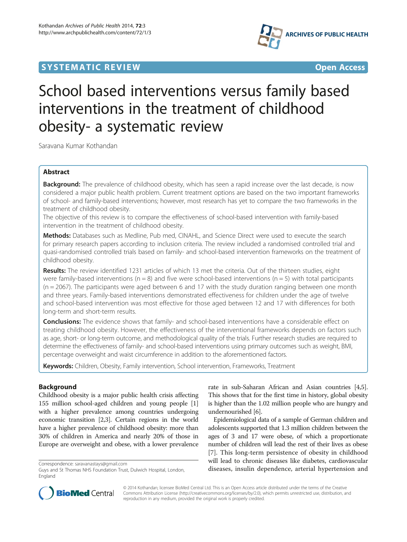# **SYSTEMATIC REVIEW ACCESS CONSUMING THE CONSUMING OPEN ACCESS**



# School based interventions versus family based interventions in the treatment of childhood obesity- a systematic review

Saravana Kumar Kothandan

# Abstract

Background: The prevalence of childhood obesity, which has seen a rapid increase over the last decade, is now considered a major public health problem. Current treatment options are based on the two important frameworks of school- and family-based interventions; however, most research has yet to compare the two frameworks in the treatment of childhood obesity.

The objective of this review is to compare the effectiveness of school-based intervention with family-based intervention in the treatment of childhood obesity.

Methods: Databases such as Medline, Pub med, CINAHL, and Science Direct were used to execute the search for primary research papers according to inclusion criteria. The review included a randomised controlled trial and quasi-randomised controlled trials based on family- and school-based intervention frameworks on the treatment of childhood obesity.

Results: The review identified 1231 articles of which 13 met the criteria. Out of the thirteen studies, eight were family-based interventions ( $n = 8$ ) and five were school-based interventions ( $n = 5$ ) with total participants  $(n = 2067)$ . The participants were aged between 6 and 17 with the study duration ranging between one month and three years. Family-based interventions demonstrated effectiveness for children under the age of twelve and school-based intervention was most effective for those aged between 12 and 17 with differences for both long-term and short-term results.

**Conclusions:** The evidence shows that family- and school-based interventions have a considerable effect on treating childhood obesity. However, the effectiveness of the interventional frameworks depends on factors such as age, short- or long-term outcome, and methodological quality of the trials. Further research studies are required to determine the effectiveness of family- and school-based interventions using primary outcomes such as weight, BMI, percentage overweight and waist circumference in addition to the aforementioned factors.

Keywords: Children, Obesity, Family intervention, School intervention, Frameworks, Treatment

# Background

Childhood obesity is a major public health crisis affecting 155 million school-aged children and young people [[1](#page-15-0)] with a higher prevalence among countries undergoing economic transition [[2,3\]](#page-15-0). Certain regions in the world have a higher prevalence of childhood obesity: more than 30% of children in America and nearly 20% of those in Europe are overweight and obese, with a lower prevalence

rate in sub-Saharan African and Asian countries [[4,5](#page-15-0)]. This shows that for the first time in history, global obesity is higher than the 1.02 million people who are hungry and undernourished [[6\]](#page-15-0).

Epidemiological data of a sample of German children and adolescents supported that 1.3 million children between the ages of 3 and 17 were obese, of which a proportionate number of children will lead the rest of their lives as obese [[7](#page-15-0)]. This long-term persistence of obesity in childhood will lead to chronic diseases like diabetes, cardiovascular Correspondence: [saravanastays@gmail.com](mailto:saravanastays@gmail.com)<br>Guys and St Thomas NHS Foundation Trust, Dulwich Hospital, London, and diseases, insulin dependence, arterial hypertension and



© 2014 Kothandan; licensee BioMed Central Ltd. This is an Open Access article distributed under the terms of the Creative Commons Attribution License [\(http://creativecommons.org/licenses/by/2.0\)](http://creativecommons.org/licenses/by/2.0), which permits unrestricted use, distribution, and reproduction in any medium, provided the original work is properly credited.

Guys and St Thomas NHS Foundation Trust, Dulwich Hospital, London, England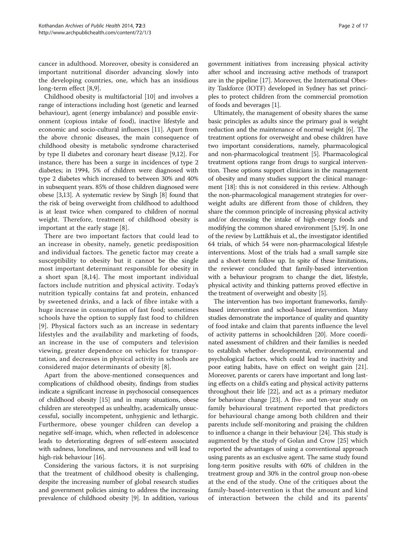cancer in adulthood. Moreover, obesity is considered an important nutritional disorder advancing slowly into the developing countries, one, which has an insidious long-term effect [\[8](#page-15-0),[9\]](#page-15-0).

Childhood obesity is multifactorial [[10\]](#page-15-0) and involves a range of interactions including host (genetic and learned behaviour), agent (energy imbalance) and possible environment (copious intake of food), inactive lifestyle and economic and socio-cultural influences [\[11](#page-15-0)]. Apart from the above chronic diseases, the main consequence of childhood obesity is metabolic syndrome characterised by type II diabetes and coronary heart disease [\[9,12](#page-15-0)]. For instance, there has been a surge in incidences of type 2 diabetes; in 1994, 5% of children were diagnosed with type 2 diabetes which increased to between 30% and 40% in subsequent years. 85% of those children diagnosed were obese [\[3,13\]](#page-15-0). A systematic review by Singh [[8](#page-15-0)] found that the risk of being overweight from childhood to adulthood is at least twice when compared to children of normal weight. Therefore, treatment of childhood obesity is important at the early stage [\[8](#page-15-0)].

There are two important factors that could lead to an increase in obesity, namely, genetic predisposition and individual factors. The genetic factor may create a susceptibility to obesity but it cannot be the single most important determinant responsible for obesity in a short span [[8,14\]](#page-15-0). The most important individual factors include nutrition and physical activity. Today's nutrition typically contains fat and protein, enhanced by sweetened drinks, and a lack of fibre intake with a huge increase in consumption of fast food; sometimes schools have the option to supply fast food to children [[9](#page-15-0)]. Physical factors such as an increase in sedentary lifestyles and the availability and marketing of foods, an increase in the use of computers and television viewing, greater dependence on vehicles for transportation, and decreases in physical activity in schools are considered major determinants of obesity [[8](#page-15-0)].

Apart from the above-mentioned consequences and complications of childhood obesity, findings from studies indicate a significant increase in psychosocial consequences of childhood obesity [\[15](#page-15-0)] and in many situations, obese children are stereotyped as unhealthy, academically unsuccessful, socially incompetent, unhygienic and lethargic. Furthermore, obese younger children can develop a negative self-image, which, when reflected in adolescence leads to deteriorating degrees of self-esteem associated with sadness, loneliness, and nervousness and will lead to high-risk behaviour [[16\]](#page-15-0).

Considering the various factors, it is not surprising that the treatment of childhood obesity is challenging, despite the increasing number of global research studies and government policies aiming to address the increasing prevalence of childhood obesity [\[9](#page-15-0)]. In addition, various

government initiatives from increasing physical activity after school and increasing active methods of transport are in the pipeline [\[17](#page-15-0)]. Moreover, the International Obesity Taskforce (IOTF) developed in Sydney has set principles to protect children from the commercial promotion of foods and beverages [\[1\]](#page-15-0).

Ultimately, the management of obesity shares the same basic principles as adults since the primary goal is weight reduction and the maintenance of normal weight [[6](#page-15-0)]. The treatment options for overweight and obese children have two important considerations, namely, pharmacological and non-pharmacological treatment [[5](#page-15-0)]. Pharmacological treatment options range from drugs to surgical intervention. These options support clinicians in the management of obesity and many studies support the clinical management [\[18\]](#page-15-0): this is not considered in this review. Although the non-pharmacological management strategies for overweight adults are different from those of children, they share the common principle of increasing physical activity and/or decreasing the intake of high-energy foods and modifying the common shared environment [\[5,19\]](#page-15-0). In one of the review by Luttikhuis et al., the investigator identified 64 trials, of which 54 were non-pharmacological lifestyle interventions. Most of the trials had a small sample size and a short-term follow up. In spite of these limitations, the reviewer concluded that family-based intervention with a behaviour program to change the diet, lifestyle, physical activity and thinking patterns proved effective in the treatment of overweight and obesity [\[5](#page-15-0)].

The intervention has two important frameworks, familybased intervention and school-based intervention. Many studies demonstrate the importance of quality and quantity of food intake and claim that parents influence the level of activity patterns in schoolchildren [\[20\]](#page-15-0). More coordinated assessment of children and their families is needed to establish whether developmental, environmental and psychological factors, which could lead to inactivity and poor eating habits, have on effect on weight gain [[21](#page-15-0)]. Moreover, parents or carers have important and long lasting effects on a child's eating and physical activity patterns throughout their life [\[22\]](#page-15-0), and act as a primary mediator for behaviour change [[23](#page-15-0)]. A five- and ten-year study on family behavioural treatment reported that predictors for behavioural change among both children and their parents include self-monitoring and praising the children to influence a change in their behaviour [\[24\]](#page-15-0). This study is augmented by the study of Golan and Crow [\[25](#page-15-0)] which reported the advantages of using a conventional approach using parents as an exclusive agent. The same study found long-term positive results with 60% of children in the treatment group and 30% in the control group non-obese at the end of the study. One of the critiques about the family-based-intervention is that the amount and kind of interaction between the child and its parents'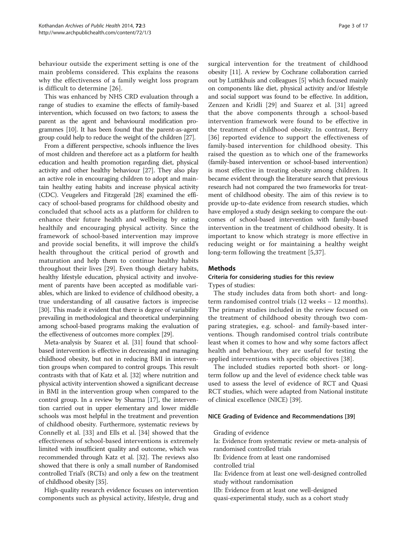behaviour outside the experiment setting is one of the main problems considered. This explains the reasons why the effectiveness of a family weight loss program is difficult to determine [[26\]](#page-15-0).

This was enhanced by NHS CRD evaluation through a range of studies to examine the effects of family-based intervention, which focussed on two factors; to assess the parent as the agent and behavioural modification programmes [[10](#page-15-0)]. It has been found that the parent-as-agent group could help to reduce the weight of the children [\[27](#page-15-0)].

From a different perspective, schools influence the lives of most children and therefore act as a platform for health education and health promotion regarding diet, physical activity and other healthy behaviour [\[27\]](#page-15-0). They also play an active role in encouraging children to adopt and maintain healthy eating habits and increase physical activity (CDC). Veugelers and Fitzgerald [\[28\]](#page-15-0) examined the efficacy of school-based programs for childhood obesity and concluded that school acts as a platform for children to enhance their future health and wellbeing by eating healthily and encouraging physical activity. Since the framework of school-based intervention may improve and provide social benefits, it will improve the child's health throughout the critical period of growth and maturation and help them to continue healthy habits throughout their lives [[29\]](#page-15-0). Even though dietary habits, healthy lifestyle education, physical activity and involvement of parents have been accepted as modifiable variables, which are linked to evidence of childhood obesity, a true understanding of all causative factors is imprecise [[30](#page-15-0)]. This made it evident that there is degree of variability prevailing in methodological and theoretical underpinning among school-based programs making the evaluation of the effectiveness of outcomes more complex [\[29](#page-15-0)].

Meta-analysis by Suarez et al. [\[31\]](#page-15-0) found that schoolbased intervention is effective in decreasing and managing childhood obesity, but not in reducing BMI in intervention groups when compared to control groups. This result contrasts with that of Katz et al. [[32](#page-15-0)] where nutrition and physical activity intervention showed a significant decrease in BMI in the intervention group when compared to the control group. In a review by Sharma [\[17\]](#page-15-0), the intervention carried out in upper elementary and lower middle schools was most helpful in the treatment and prevention of childhood obesity. Furthermore, systematic reviews by Connelly et al. [[33\]](#page-15-0) and Ells et al. [[34\]](#page-15-0) showed that the effectiveness of school-based interventions is extremely limited with insufficient quality and outcome, which was recommended through Katz et al. [\[32\]](#page-15-0). The reviews also showed that there is only a small number of Randomised controlled Trial's (RCTs) and only a few on the treatment of childhood obesity [\[35\]](#page-15-0).

High-quality research evidence focuses on intervention components such as physical activity, lifestyle, drug and

surgical intervention for the treatment of childhood obesity [[11](#page-15-0)]. A review by Cochrane collaboration carried out by Luttikhuis and colleagues [[5](#page-15-0)] which focused mainly on components like diet, physical activity and/or lifestyle and social support was found to be effective. In addition, Zenzen and Kridli [\[29](#page-15-0)] and Suarez et al. [\[31](#page-15-0)] agreed that the above components through a school-based intervention framework were found to be effective in the treatment of childhood obesity. In contrast, Berry [[36](#page-15-0)] reported evidence to support the effectiveness of family-based intervention for childhood obesity. This raised the question as to which one of the frameworks (family-based intervention or school-based intervention) is most effective in treating obesity among children. It became evident through the literature search that previous research had not compared the two frameworks for treatment of childhood obesity. The aim of this review is to provide up-to-date evidence from research studies, which have employed a study design seeking to compare the outcomes of school-based intervention with family-based intervention in the treatment of childhood obesity. It is important to know which strategy is more effective in reducing weight or for maintaining a healthy weight long-term following the treatment [\[5,37](#page-15-0)].

#### Methods

# Criteria for considering studies for this review

Types of studies:

The study includes data from both short- and longterm randomised control trials (12 weeks – 12 months). The primary studies included in the review focused on the treatment of childhood obesity through two comparing strategies, e.g. school- and family-based interventions. Though randomised control trials contribute least when it comes to how and why some factors affect health and behaviour, they are useful for testing the applied interventions with specific objectives [\[38\]](#page-15-0).

The included studies reported both short- or longterm follow up and the level of evidence check table was used to assess the level of evidence of RCT and Quasi RCT studies, which were adapted from National institute of clinical excellence (NICE) [\[39](#page-15-0)].

#### NICE Grading of Evidence and Recommendations [\[39](#page-15-0)]

Grading of evidence

Ia: Evidence from systematic review or meta-analysis of randomised controlled trials

Ib: Evidence from at least one randomised controlled trial

IIa: Evidence from at least one well-designed controlled study without randomisation

IIb: Evidence from at least one well-designed

quasi-experimental study, such as a cohort study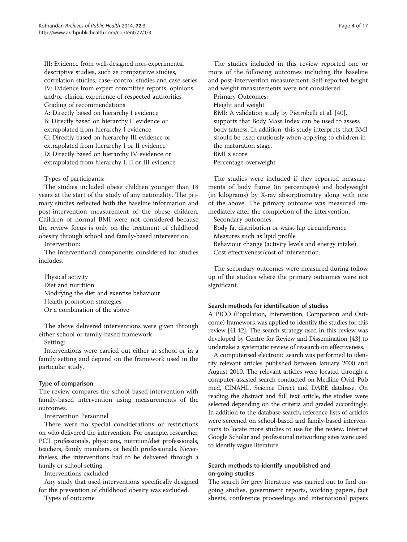III: Evidence from well-designed non-experimental descriptive studies, such as comparative studies, correlation studies, case–control studies and case series IV: Evidence from expert committee reports, opinions and/or clinical experience of respected authorities Grading of recommendations A: Directly based on hierarchy I evidence B: Directly based on hierarchy II evidence or extrapolated from hierarchy I evidence C: Directly based on hierarchy III evidence or extrapolated from hierarchy I or II evidence

D: Directly based on hierarchy IV evidence or extrapolated from hierarchy I, II or III evidence

#### Types of participants:

The studies included obese children younger than 18 years at the start of the study of any nationality. The primary studies reflected both the baseline information and post-intervention measurement of the obese children. Children of normal BMI were not considered because the review focus is only on the treatment of childhood obesity through school and family-based intervention.

Intervention:

The interventional components considered for studies includes,

Physical activity Diet and nutrition Modifying the diet and exercise behaviour Health promotion strategies Or a combination of the above

The above delivered interventions were given through either school or family-based framework

Setting:

Interventions were carried out either at school or in a family setting and depend on the framework used in the particular study.

#### Type of comparison

The review compares the school-based intervention with family-based intervention using measurements of the outcomes.

Intervention Personnel

There were no special considerations or restrictions on who delivered the intervention. For example, researcher, PCT professionals, physicians, nutrition/diet professionals, teachers, family members, or health professionals. Nevertheless, the interventions had to be delivered through a family or school setting.

Interventions excluded

Any study that used interventions specifically designed for the prevention of childhood obesity was excluded.

Types of outcome

The studies included in this review reported one or more of the following outcomes including the baseline and post-intervention measurement. Self-reported height and weight measurements were not considered.

Primary Outcomes: Height and weight BMI: A validation study by Pietrobelli et al. [\[40\]](#page-15-0), supports that Body Mass Index can be used to assess body fatness. In addition, this study interprets that BMI should be used cautiously when applying to children in the maturation stage. BMI z score Percentage overweight

The studies were included if they reported measurements of body frame (in percentages) and bodyweight (in kilograms) by X-ray absorptiometry along with one of the above. The primary outcome was measured immediately after the completion of the intervention.

Secondary outcomes:

Body fat distribution or waist-hip circumference

Measures such as lipid profile

- Behaviour change (activity levels and energy intake)
- Cost effectiveness/cost of intervention.

The secondary outcomes were measured during follow up of the studies where the primary outcomes were not significant.

#### Search methods for identification of studies

A PICO (Population, Intervention, Comparison and Outcome) framework was applied to identify the studies for this review [\[41,42](#page-15-0)]. The search strategy used in this review was developed by Centre for Review and Dissemination [[43](#page-15-0)] to undertake a systematic review of research on effectiveness.

A computerised electronic search was performed to identify relevant articles published between January 2000 and August 2010. The relevant articles were located through a computer-assisted search conducted on Medline-Ovid, Pub med, CINAHL, Science Direct and DARE database. On reading the abstract and full text article, the studies were selected depending on the criteria and graded accordingly. In addition to the database search, reference lists of articles were screened on school-based and family-based interventions to locate more studies to use for the review. Internet Google Scholar and professional networking sites were used to identify vague literature.

#### Search methods to identify unpublished and on-going studies

The search for grey literature was carried out to find ongoing studies, government reports, working papers, fact sheets, conference proceedings and international papers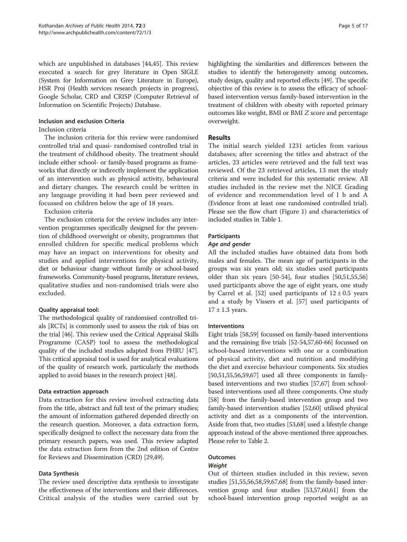which are unpublished in databases [[44](#page-15-0),[45](#page-15-0)]. This review executed a search for grey literature in Open SIGLE (System for Information on Grey Literature in Europe), HSR Proj (Health services research projects in progress), Google Scholar, CRD and CRISP (Computer Retrieval of Information on Scientific Projects) Database.

#### Inclusion and exclusion Criteria

#### Inclusion criteria

The inclusion criteria for this review were randomised controlled trial and quasi- randomised controlled trial in the treatment of childhood obesity. The treatment should include either school- or family-based programs as frameworks that directly or indirectly implement the application of an intervention such as physical activity, behavioural and dietary changes. The research could be written in any language providing it had been peer reviewed and focussed on children below the age of 18 years.

Exclusion criteria

The exclusion criteria for the review includes any intervention programmes specifically designed for the prevention of childhood overweight or obesity, programmes that enrolled children for specific medical problems which may have an impact on interventions for obesity and studies and applied interventions for physical activity, diet or behaviour change without family or school-based frameworks. Community-based programs, literature reviews, qualitative studies and non-randomised trials were also excluded.

#### Quality appraisal tool:

The methodological quality of randomised controlled trials [RCTs] is commonly used to assess the risk of bias on the trial [[46](#page-15-0)]. This review used the Critical Appraisal Skills Programme (CASP) tool to assess the methodological quality of the included studies adapted from PHRU [[47](#page-15-0)]. This critical appraisal tool is used for analytical evaluations of the quality of research work, particularly the methods applied to avoid biases in the research project [\[48\]](#page-15-0).

#### Data extraction approach

Data extraction for this review involved extracting data from the title, abstract and full text of the primary studies; the amount of information gathered depended directly on the research question. Moreover, a data extraction form, specifically designed to collect the necessary data from the primary research papers, was used. This review adapted the data extraction form from the 2nd edition of Centre for Reviews and Dissemination (CRD) [[29](#page-15-0),[49](#page-15-0)].

# Data Synthesis

The review used descriptive data synthesis to investigate the effectiveness of the interventions and their differences. Critical analysis of the studies were carried out by highlighting the similarities and differences between the studies to identify the heterogeneity among outcomes, study design, quality and reported effects [\[49\]](#page-15-0). The specific objective of this review is to assess the efficacy of schoolbased intervention versus family-based intervention in the treatment of children with obesity with reported primary outcomes like weight, BMI or BMI Z score and percentage overweight.

# Results

The initial search yielded 1231 articles from various databases; after screening the titles and abstract of the articles, 23 articles were retrieved and the full text was reviewed. Of the 23 retrieved articles, 13 met the study criteria and were included for this systematic review. All studies included in the review met the NICE Grading of evidence and recommendation level of I b and A (Evidence from at least one randomised controlled trial). Please see the flow chart (Figure [1\)](#page-5-0) and characteristics of included studies in Table [1](#page-6-0).

# **Participants**

#### Age and gender

All the included studies have obtained data from both males and females. The mean age of participants in the groups was six years old; six studies used participants older than six years [\[50](#page-15-0)-[54\]](#page-16-0), four studies [[50,51](#page-15-0),[55](#page-16-0),[56](#page-16-0)] used participants above the age of eight years, one study by Carrel et al. [[52\]](#page-16-0) used participants of  $12 \pm 0.5$  years and a study by Vissers et al. [[57\]](#page-16-0) used participants of  $17 \pm 1.3$  years.

#### Interventions

Eight trials [\[58,59\]](#page-16-0) focussed on family-based interventions and the remaining five trials [\[52-54,57,60](#page-16-0)-[66](#page-16-0)] focussed on school-based interventions with one or a combination of physical activity, diet and nutrition and modifying the diet and exercise behaviour components. Six studies [[50,51](#page-15-0)[,55,56,59,67\]](#page-16-0) used all three components in familybased interventions and two studies [\[57,67\]](#page-16-0) from schoolbased interventions used all three components. One study [[58](#page-16-0)] from the family-based intervention group and two family-based intervention studies [\[52,60](#page-16-0)] utilised physical activity and diet as a components of the intervention. Aside from that, two studies [\[53,68](#page-16-0)] used a lifestyle change approach instead of the above-mentioned three approaches. Please refer to Table [2](#page-9-0).

# **Outcomes**

# Weight

Out of thirteen studies included in this review, seven studies [[51](#page-15-0)[,55,56,58,59,67](#page-16-0),[68](#page-16-0)] from the family-based intervention group and four studies [[53,57,60,61](#page-16-0)] from the school-based intervention group reported weight as an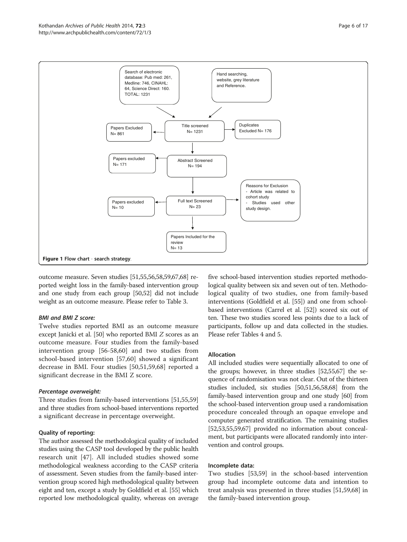<span id="page-5-0"></span>

outcome measure. Seven studies [\[51](#page-15-0)[,55,56,58,59,67,68\]](#page-16-0) reported weight loss in the family-based intervention group and one study from each group [[50](#page-15-0)[,52](#page-16-0)] did not include weight as an outcome measure. Please refer to Table [3.](#page-9-0)

#### BMI and BMI Z score:

Twelve studies reported BMI as an outcome measure except Janicki et al. [[50](#page-15-0)] who reported BMI Z scores as an outcome measure. Four studies from the family-based intervention group [[56-58](#page-16-0),[60\]](#page-16-0) and two studies from school-based intervention [[57,60\]](#page-16-0) showed a significant decrease in BMI. Four studies [[50,51,](#page-15-0)[59,68](#page-16-0)] reported a significant decrease in the BMI Z score.

#### Percentage overweight:

Three studies from family-based interventions [[51](#page-15-0),[55](#page-16-0),[59](#page-16-0)] and three studies from school-based interventions reported a significant decrease in percentage overweight.

#### Quality of reporting:

The author assessed the methodological quality of included studies using the CASP tool developed by the public health research unit [\[47](#page-15-0)]. All included studies showed some methodological weakness according to the CASP criteria of assessment. Seven studies from the family-based intervention group scored high methodological quality between eight and ten, except a study by Goldfield et al. [\[55\]](#page-16-0) which reported low methodological quality, whereas on average

five school-based intervention studies reported methodological quality between six and seven out of ten. Methodological quality of two studies, one from family-based interventions (Goldfield et al. [[55](#page-16-0)]) and one from schoolbased interventions (Carrel et al. [\[52\]](#page-16-0)) scored six out of ten. These two studies scored less points due to a lack of participants, follow up and data collected in the studies. Please refer Tables [4](#page-10-0) and [5.](#page-11-0)

#### Allocation

All included studies were sequentially allocated to one of the groups; however, in three studies [\[52,55,67\]](#page-16-0) the sequence of randomisation was not clear. Out of the thirteen studies included, six studies [[50,51](#page-15-0)[,56,58,68](#page-16-0)] from the family-based intervention group and one study [[60](#page-16-0)] from the school-based intervention group used a randomisation procedure concealed through an opaque envelope and computer generated stratification. The remaining studies [[52,53,55,59,67](#page-16-0)] provided no information about concealment, but participants were allocated randomly into intervention and control groups.

#### Incomplete data:

Two studies [\[53,59](#page-16-0)] in the school-based intervention group had incomplete outcome data and intention to treat analysis was presented in three studies [[51,](#page-15-0)[59,68](#page-16-0)] in the family-based intervention group.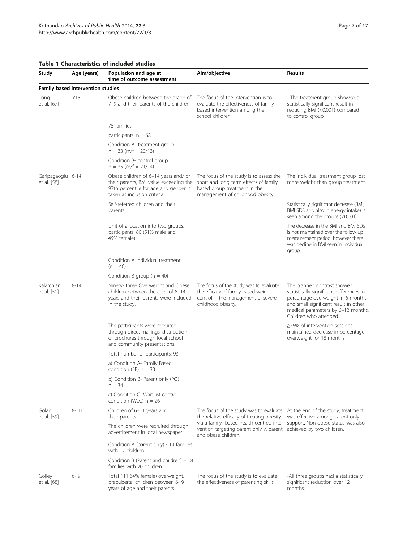#### <span id="page-6-0"></span>Table 1 Characteristics of included studies

| Study                            | Age (years)                       | Population and age at<br>time of outcome assessment                                                                                                     | Aim/objective                                                                                                                                                           | <b>Results</b>                                                                                                                                                                                                       |
|----------------------------------|-----------------------------------|---------------------------------------------------------------------------------------------------------------------------------------------------------|-------------------------------------------------------------------------------------------------------------------------------------------------------------------------|----------------------------------------------------------------------------------------------------------------------------------------------------------------------------------------------------------------------|
|                                  | Family based intervention studies |                                                                                                                                                         |                                                                                                                                                                         |                                                                                                                                                                                                                      |
| Jiang<br>et al. [67]             | <13                               | Obese children between the grade of<br>7-9 and their parents of the children.                                                                           | The focus of the intervention is to<br>evaluate the effectiveness of family<br>based intervention among the<br>school children                                          | - The treatment group showed a<br>statistically significant result in<br>reducing BMI (<0.001) compared<br>to control group                                                                                          |
|                                  |                                   | 75 families.                                                                                                                                            |                                                                                                                                                                         |                                                                                                                                                                                                                      |
|                                  |                                   | participants: $n = 68$                                                                                                                                  |                                                                                                                                                                         |                                                                                                                                                                                                                      |
|                                  |                                   | Condition A- treatment group<br>$n = 33$ (m/f = 20/13)                                                                                                  |                                                                                                                                                                         |                                                                                                                                                                                                                      |
|                                  |                                   | Condition B- control group<br>$n = 35$ (m/f = 21/14)                                                                                                    |                                                                                                                                                                         |                                                                                                                                                                                                                      |
| Garipagaoglu 6-14<br>et al. [58] |                                   | Obese children of 6-14 years and/ or<br>their parents, BMI value exceeding the<br>97th percentile for age and gender is<br>taken as inclusion criteria. | The focus of the study is to assess the<br>short and long term effects of family<br>based group treatment in the<br>management of childhood obesity.                    | The individual treatment group lost<br>more weight than group treatment.                                                                                                                                             |
|                                  |                                   | Self-referred children and their<br>parents.                                                                                                            |                                                                                                                                                                         | Statistically significant decrease (BMI,<br>BMI SDS and also in energy intake) is<br>seen among the groups (<0.001)                                                                                                  |
|                                  |                                   | Unit of allocation into two groups.<br>participants: 80 (51% male and<br>49% female)                                                                    |                                                                                                                                                                         | The decrease in the BMI and BMI SDS<br>is not maintained over the follow up<br>measurement period, however there<br>was decline in BMI seen in individual<br>group                                                   |
|                                  |                                   | Condition A Individual treatment<br>$(n = 40)$                                                                                                          |                                                                                                                                                                         |                                                                                                                                                                                                                      |
|                                  |                                   | Condition B group ( $n = 40$ )                                                                                                                          |                                                                                                                                                                         |                                                                                                                                                                                                                      |
| Kalarchian<br>et al. [51]        | $8 - 14$                          | Ninety- three Overweight and Obese<br>children between the ages of 8-14<br>years and their parents were included<br>in the study.                       | The focus of the study was to evaluate<br>the efficacy of family based weight<br>control in the management of severe<br>childhood obesity.                              | The planned contrast showed<br>statistically significant differences in<br>percentage overweight in 6 months<br>and small significant result in other<br>medical parameters by 6-12 months.<br>Children who attended |
|                                  |                                   | The participants were recruited<br>through direct mailings, distribution<br>of brochures through local school<br>and community presentations            |                                                                                                                                                                         | ≥75% of intervention sessions<br>maintained decrease in percentage<br>overweight for 18 months                                                                                                                       |
|                                  |                                   | Total number of participants: 93                                                                                                                        |                                                                                                                                                                         |                                                                                                                                                                                                                      |
|                                  |                                   | a) Condition A- Family Based<br>condition (FB) $n = 33$                                                                                                 |                                                                                                                                                                         |                                                                                                                                                                                                                      |
|                                  |                                   | b) Condition B- Parent only (PO)<br>$n = 34$                                                                                                            |                                                                                                                                                                         |                                                                                                                                                                                                                      |
|                                  |                                   | c) Condition C- Wait list control<br>condition (WLC) $n = 26$                                                                                           |                                                                                                                                                                         |                                                                                                                                                                                                                      |
| Golan<br>et al. [59]             | $8 - 11$                          | Children of 6-11 years and<br>their parents                                                                                                             | The focus of the study was to evaluate At the end of the study, treatment<br>the relative efficacy of treating obesity                                                  | was effective among parent only                                                                                                                                                                                      |
|                                  |                                   | The children were recruited through<br>advertisement in local newspaper.                                                                                | via a family- based health centred inter support. Non obese status was also<br>vention targeting parent only v. parent achieved by two children.<br>and obese children. |                                                                                                                                                                                                                      |
|                                  |                                   | Condition A (parent only) - 14 families<br>with 17 children                                                                                             |                                                                                                                                                                         |                                                                                                                                                                                                                      |
|                                  |                                   | Condition B (Parent and children) – 18<br>families with 20 children                                                                                     |                                                                                                                                                                         |                                                                                                                                                                                                                      |
| Golley<br>et al. [68]            | $6 - 9$                           | Total 111(64% female) overweight,<br>prepubertal children between 6-9<br>years of age and their parents                                                 | The focus of the study is to evaluate<br>the effectiveness of parenting skills                                                                                          | -All three groups had a statistically<br>significant reduction over 12<br>months.                                                                                                                                    |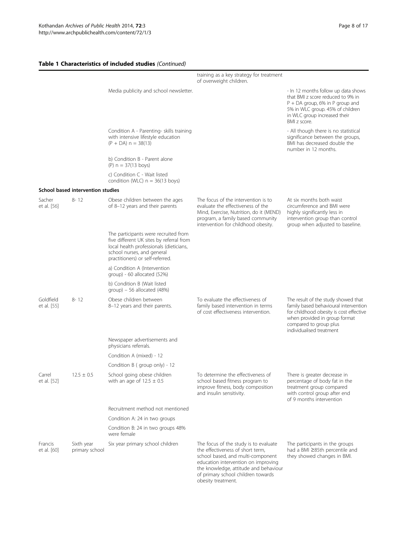# Table 1 Characteristics of included studies (Continued)

|                          |                                   |                                                                                                                                                                                               | training as a key strategy for treatment<br>of overweight children.                                                                                                                                                                                        |                                                                                                                                                                                                                |
|--------------------------|-----------------------------------|-----------------------------------------------------------------------------------------------------------------------------------------------------------------------------------------------|------------------------------------------------------------------------------------------------------------------------------------------------------------------------------------------------------------------------------------------------------------|----------------------------------------------------------------------------------------------------------------------------------------------------------------------------------------------------------------|
|                          |                                   | Media publicity and school newsletter.                                                                                                                                                        |                                                                                                                                                                                                                                                            | - In 12 months follow up data shows<br>that BMI z score reduced to 9% in<br>$P + DA$ group, 6% in P group and<br>5% in WLC group. 45% of children<br>in WLC group increased their<br>BMI z score.              |
|                          |                                   | Condition A - Parenting- skills training<br>with intensive lifestyle education<br>$(P + DA) n = 38(13)$                                                                                       |                                                                                                                                                                                                                                                            | - All though there is no statistical<br>significance between the groups,<br>BMI has decreased double the<br>number in 12 months.                                                                               |
|                          |                                   | b) Condition B - Parent alone<br>$(P) n = 37(13 boys)$                                                                                                                                        |                                                                                                                                                                                                                                                            |                                                                                                                                                                                                                |
|                          |                                   | c) Condition C - Wait listed<br>condition (WLC) $n = 36(13 \text{ boys})$                                                                                                                     |                                                                                                                                                                                                                                                            |                                                                                                                                                                                                                |
|                          | School based intervention studies |                                                                                                                                                                                               |                                                                                                                                                                                                                                                            |                                                                                                                                                                                                                |
| Sacher<br>et al. [56]    | $8 - 12$                          | Obese children between the ages<br>of 8-12 years and their parents                                                                                                                            | The focus of the intervention is to<br>evaluate the effectiveness of the<br>Mind, Exercise, Nutrition, do it (MEND)<br>program, a family based community<br>intervention for childhood obesity.                                                            | At six months both waist<br>circumference and BMI were<br>highly significantly less in<br>intervention group than control<br>group when adjusted to baseline.                                                  |
|                          |                                   | The participants were recruited from<br>five different UK sites by referral from<br>local health professionals (dieticians,<br>school nurses, and general<br>practitioners) or self-referred. |                                                                                                                                                                                                                                                            |                                                                                                                                                                                                                |
|                          |                                   | a) Condition A (Intervention<br>group) - 60 allocated (52%)                                                                                                                                   |                                                                                                                                                                                                                                                            |                                                                                                                                                                                                                |
|                          |                                   | b) Condition B (Wait listed<br>$(48%)$ – 56 allocated $(48%)$                                                                                                                                 |                                                                                                                                                                                                                                                            |                                                                                                                                                                                                                |
| Goldfield<br>et al. [55] | $8 - 12$                          | Obese children between<br>8-12 years and their parents.                                                                                                                                       | To evaluate the effectiveness of<br>family based intervention in terms<br>of cost effectiveness intervention.                                                                                                                                              | The result of the study showed that<br>family based behavioural intervention<br>for childhood obesity is cost effective<br>when provided in group format<br>compared to group plus<br>individualised treatment |
|                          |                                   | Newspaper advertisements and                                                                                                                                                                  |                                                                                                                                                                                                                                                            |                                                                                                                                                                                                                |
|                          |                                   | physicians referrals.                                                                                                                                                                         |                                                                                                                                                                                                                                                            |                                                                                                                                                                                                                |
|                          |                                   | Condition A (mixed) - 12                                                                                                                                                                      |                                                                                                                                                                                                                                                            |                                                                                                                                                                                                                |
|                          |                                   | Condition B (group only) - 12                                                                                                                                                                 |                                                                                                                                                                                                                                                            |                                                                                                                                                                                                                |
| Carrel<br>et al. [52]    | $12.5 \pm 0.5$                    | School going obese children<br>with an age of $12.5 \pm 0.5$                                                                                                                                  | To determine the effectiveness of<br>school based fitness program to<br>improve fitness, body composition<br>and insulin sensitivity.                                                                                                                      | There is greater decrease in<br>percentage of body fat in the<br>treatment group compared<br>with control group after end<br>of 9 months intervention                                                          |
|                          |                                   | Recruitment method not mentioned                                                                                                                                                              |                                                                                                                                                                                                                                                            |                                                                                                                                                                                                                |
|                          |                                   | Condition A: 24 in two groups                                                                                                                                                                 |                                                                                                                                                                                                                                                            |                                                                                                                                                                                                                |
|                          |                                   | Condition B: 24 in two groups 48%<br>were female                                                                                                                                              |                                                                                                                                                                                                                                                            |                                                                                                                                                                                                                |
| Francis<br>et al. [60]   | Sixth year<br>primary school      | Six year primary school children                                                                                                                                                              | The focus of the study is to evaluate<br>the effectiveness of short term,<br>school based, and multi-component<br>education intervention on improving<br>the knowledge, attitude and behaviour<br>of primary school children towards<br>obesity treatment. | The participants in the groups<br>had a BMI ≥85th percentile and<br>they showed changes in BMI.                                                                                                                |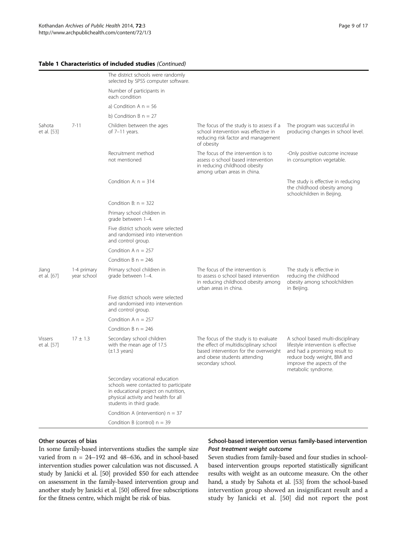#### Table 1 Characteristics of included studies (Continued)

|                               |                            | The district schools were randomly                                                                                                                                                  |                                                                                                                                                                               |                                                                                                                                                                                               |
|-------------------------------|----------------------------|-------------------------------------------------------------------------------------------------------------------------------------------------------------------------------------|-------------------------------------------------------------------------------------------------------------------------------------------------------------------------------|-----------------------------------------------------------------------------------------------------------------------------------------------------------------------------------------------|
|                               |                            | selected by SPSS computer software.                                                                                                                                                 |                                                                                                                                                                               |                                                                                                                                                                                               |
|                               |                            | Number of participants in<br>each condition                                                                                                                                         |                                                                                                                                                                               |                                                                                                                                                                                               |
|                               |                            | a) Condition A $n = 56$                                                                                                                                                             |                                                                                                                                                                               |                                                                                                                                                                                               |
|                               |                            | b) Condition B $n = 27$                                                                                                                                                             |                                                                                                                                                                               |                                                                                                                                                                                               |
| Sahota<br>et al. [53]         | $7 - 11$                   | Children between the ages<br>of 7-11 years.                                                                                                                                         | The focus of the study is to assess if a<br>school intervention was effective in<br>reducing risk factor and management<br>of obesity                                         | The program was successful in<br>producing changes in school level.                                                                                                                           |
|                               |                            | Recruitment method<br>not mentioned                                                                                                                                                 | The focus of the intervention is to<br>assess o school based intervention<br>in reducing childhood obesity<br>among urban areas in china.                                     | -Only positive outcome increase<br>in consumption vegetable.                                                                                                                                  |
|                               |                            | Condition A: $n = 314$                                                                                                                                                              |                                                                                                                                                                               | The study is effective in reducing<br>the childhood obesity among<br>schoolchildren in Beijing.                                                                                               |
|                               |                            | Condition B: $n = 322$                                                                                                                                                              |                                                                                                                                                                               |                                                                                                                                                                                               |
|                               |                            | Primary school children in<br>grade between 1-4.                                                                                                                                    |                                                                                                                                                                               |                                                                                                                                                                                               |
|                               |                            | Five district schools were selected<br>and randomised into intervention<br>and control group.                                                                                       |                                                                                                                                                                               |                                                                                                                                                                                               |
|                               |                            | Condition A $n = 257$                                                                                                                                                               |                                                                                                                                                                               |                                                                                                                                                                                               |
|                               |                            | Condition $B_n = 246$                                                                                                                                                               |                                                                                                                                                                               |                                                                                                                                                                                               |
| Jiang<br>et al. [67]          | 1-4 primary<br>year school | Primary school children in<br>grade between 1-4.                                                                                                                                    | The focus of the intervention is<br>to assess o school based intervention<br>in reducing childhood obesity among<br>urban areas in china.                                     | The study is effective in<br>reducing the childhood<br>obesity among schoolchildren<br>in Beijing.                                                                                            |
|                               |                            | Five district schools were selected<br>and randomised into intervention<br>and control group.                                                                                       |                                                                                                                                                                               |                                                                                                                                                                                               |
|                               |                            | Condition A $n = 257$                                                                                                                                                               |                                                                                                                                                                               |                                                                                                                                                                                               |
|                               |                            | Condition $B_n = 246$                                                                                                                                                               |                                                                                                                                                                               |                                                                                                                                                                                               |
| <b>Vissers</b><br>et al. [57] | $17 \pm 1.3$               | Secondary school children<br>with the mean age of 17.5<br>$(\pm 1.3 \text{ years})$                                                                                                 | The focus of the study is to evaluate<br>the effect of multidisciplinary school<br>based intervention for the overweight<br>and obese students attending<br>secondary school. | A school based multi-disciplinary<br>lifestyle intervention is effective<br>and had a promising result to<br>reduce body weight, BMI and<br>improve the aspects of the<br>metabolic syndrome. |
|                               |                            | Secondary vocational education<br>schools were contacted to participate<br>in educational project on nutrition,<br>physical activity and health for all<br>students in third grade. |                                                                                                                                                                               |                                                                                                                                                                                               |
|                               |                            | Condition A (intervention) $n = 37$                                                                                                                                                 |                                                                                                                                                                               |                                                                                                                                                                                               |
|                               |                            | Condition B (control) $n = 39$                                                                                                                                                      |                                                                                                                                                                               |                                                                                                                                                                                               |

#### Other sources of bias

In some family-based interventions studies the sample size varied from n = 24–192 and 48–636, and in school-based intervention studies power calculation was not discussed. A study by Janicki et al. [\[50\]](#page-15-0) provided \$50 for each attendee on assessment in the family-based intervention group and another study by Janicki et al. [\[50](#page-15-0)] offered free subscriptions for the fitness centre, which might be risk of bias.

# School-based intervention versus family-based intervention Post treatment weight outcome

Seven studies from family-based and four studies in schoolbased intervention groups reported statistically significant results with weight as an outcome measure. On the other hand, a study by Sahota et al. [\[53\]](#page-16-0) from the school-based intervention group showed an insignificant result and a study by Janicki et al. [\[50](#page-15-0)] did not report the post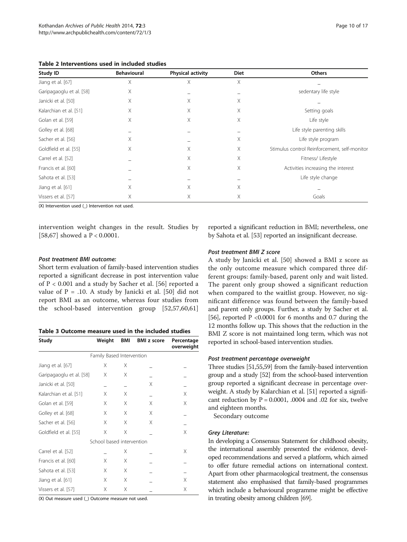| Study ID                 | <b>Behavioural</b> | <b>Physical activity</b> | <b>Diet</b> | <b>Others</b>                                |
|--------------------------|--------------------|--------------------------|-------------|----------------------------------------------|
| Jiang et al. [67]        | X                  | Χ                        | Χ           |                                              |
| Garipagaoglu et al. [58] | X                  |                          |             | sedentary life style                         |
| Janicki et al. [50]      | X                  | Χ                        | X           |                                              |
| Kalarchian et al. [51]   | X                  | Χ                        | X           | Setting goals                                |
| Golan et al. [59]        | X                  | Χ                        | X           | Life style                                   |
| Golley et al. [68]       |                    |                          |             | Life style parenting skills                  |
| Sacher et al. [56]       | X                  |                          | X           | Life style program                           |
| Goldfield et al. [55]    | X                  | Χ                        | X           | Stimulus control Reinforcement, self-monitor |
| Carrel et al. [52]       |                    | Χ                        | X           | Fitness/ Lifestyle                           |
| Francis et al. [60]      |                    | X                        | X           | Activities increasing the interest           |
| Sahota et al. [53]       |                    |                          |             | Life style change                            |
| Jiang et al. [61]        | X                  | X                        | Χ           |                                              |
| Vissers et al. [57]      | X                  | Χ                        | Χ           | Goals                                        |
|                          |                    |                          |             |                                              |

<span id="page-9-0"></span>Table 2 Interventions used in included studies

(X) Intervention used (\_) Intervention not used.

intervention weight changes in the result. Studies by [[58,67](#page-16-0)] showed a P < 0.0001.

reported a significant reduction in BMI; nevertheless, one by Sahota et al. [[53](#page-16-0)] reported an insignificant decrease.

#### Post treatment BMI outcome:

Short term evaluation of family-based intervention studies reported a significant decrease in post intervention value of P < 0.001 and a study by Sacher et al. [\[56](#page-16-0)] reported a value of  $P = .10$ . A study by Janicki et al. [\[50](#page-15-0)] did not report BMI as an outcome, whereas four studies from the school-based intervention group [[52,57,60,61](#page-16-0)]

Table 3 Outcome measure used in the included studies

| Study                    | Weight                    | BMI | <b>BMI</b> z score | Percentage<br>overweight |
|--------------------------|---------------------------|-----|--------------------|--------------------------|
|                          | Family Based Intervention |     |                    |                          |
| Jiang et al. [67]        | X                         | Χ   |                    |                          |
| Garipagaoglu et al. [58] | Χ                         | X   |                    |                          |
| Janicki et al. [50]      |                           |     | Χ                  |                          |
| Kalarchian et al. [51]   | X                         | X   |                    | X                        |
| Golan et al. [59]        | X                         | X   | X                  | X                        |
| Golley et al. [68]       | X                         | X   | X                  |                          |
| Sacher et al. [56]       | X                         | X   | X                  |                          |
| Goldfield et al. [55]    | X                         | X   |                    | X                        |
|                          | School based intervention |     |                    |                          |
| Carrel et al. [52]       |                           | X   |                    | Χ                        |
| Francis et al. [60]      | X                         | X   |                    |                          |
| Sahota et al. [53]       | X                         | Χ   |                    |                          |
| Jiang et al. [61]        | X                         | Χ   |                    | X                        |
| Vissers et al. [57]      | Χ                         | Χ   |                    | Χ                        |

(X) Out measure used (\_) Outcome measure not used.

#### Post treatment BMI Z score

A study by Janicki et al. [\[50](#page-15-0)] showed a BMI z score as the only outcome measure which compared three different groups: family-based, parent only and wait listed. The parent only group showed a significant reduction when compared to the waitlist group. However, no significant difference was found between the family-based and parent only groups. Further, a study by Sacher et al. [[56](#page-16-0)], reported P <0.0001 for 6 months and 0.7 during the 12 months follow up. This shows that the reduction in the BMI Z score is not maintained long term, which was not reported in school-based intervention studies.

#### Post treatment percentage overweight

Three studies [[51](#page-15-0)[,55,59\]](#page-16-0) from the family-based intervention group and a study [\[52\]](#page-16-0) from the school-based intervention group reported a significant decrease in percentage overweight. A study by Kalarchian et al. [[51](#page-15-0)] reported a significant reduction by  $P = 0.0001$ , .0004 and .02 for six, twelve and eighteen months.

Secondary outcome

#### Grey Literature:

In developing a Consensus Statement for childhood obesity, the international assembly presented the evidence, developed recommendations and served a platform, which aimed to offer future remedial actions on international context. Apart from other pharmacological treatment, the consensus statement also emphasised that family-based programmes which include a behavioural programme might be effective in treating obesity among children [[69](#page-16-0)].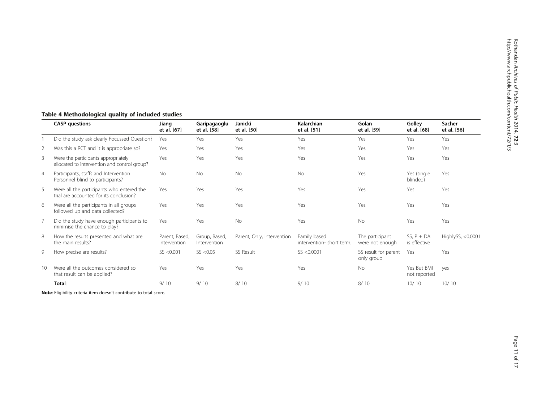# <span id="page-10-0"></span>Table 4 Methodological quality of included studies

|                 | <b>CASP</b> questions                                                                | Jiang<br>et al. [67]           | Garipagaoglu<br>et al. [58]   | Janicki<br>et al. [50]     | <b>Kalarchian</b><br>et al. [51]          | Golan<br>et al. [59]               | Golley<br>et al. [68]        | Sacher<br>et al. [56] |
|-----------------|--------------------------------------------------------------------------------------|--------------------------------|-------------------------------|----------------------------|-------------------------------------------|------------------------------------|------------------------------|-----------------------|
|                 | Did the study ask clearly Focussed Question?                                         | Yes                            | Yes                           | Yes                        | Yes                                       | Yes                                | Yes                          | Yes                   |
| 2               | Was this a RCT and it is appropriate so?                                             | Yes                            | Yes                           | Yes                        | Yes                                       | Yes                                | Yes                          | Yes                   |
| 3               | Were the participants appropriately<br>allocated to intervention and control group?  | Yes                            | Yes                           | Yes                        | Yes                                       | Yes                                | Yes                          | Yes                   |
| $\overline{4}$  | Participants, staffs and Intervention<br>Personnel blind to participants?            | <b>No</b>                      | <b>No</b>                     | <b>No</b>                  | <b>No</b>                                 | Yes                                | Yes (single<br>blinded)      | Yes                   |
| 5               | Were all the participants who entered the<br>trial are accounted for its conclusion? | Yes                            | Yes                           | Yes                        | Yes                                       | Yes                                | Yes                          | Yes                   |
| 6               | Were all the participants in all groups<br>followed up and data collected?           | Yes                            | Yes                           | Yes                        | Yes                                       | Yes                                | Yes                          | Yes                   |
|                 | Did the study have enough participants to<br>minimise the chance to play?            | Yes                            | Yes                           | <b>No</b>                  | Yes                                       | <b>No</b>                          | Yes                          | Yes                   |
| 8               | How the results presented and what are<br>the main results?                          | Parent, Based,<br>Intervention | Group, Based,<br>Intervention | Parent, Only, Intervention | Family based<br>intervention- short term. | The participant<br>were not enough | $SS, P + DA$<br>is effective | HighlySS, <0.0001     |
| 9               | How precise are results?                                                             | SS < 0.001                     | SS < 0.05                     | SS Result                  | SS < 0.0001                               | SS result for parent<br>only group | Yes                          | Yes                   |
| 10 <sup>°</sup> | Were all the outcomes considered so<br>that result can be applied?                   | Yes                            | Yes                           | Yes                        | Yes                                       | <b>No</b>                          | Yes But BMI<br>not reported  | yes                   |
|                 | Total:                                                                               | 9/10                           | 9/10                          | 8/10                       | 9/10                                      | 8/10                               | 10/10                        | 10/10                 |

Note: Eligibility criteria item doesn't contribute to total score.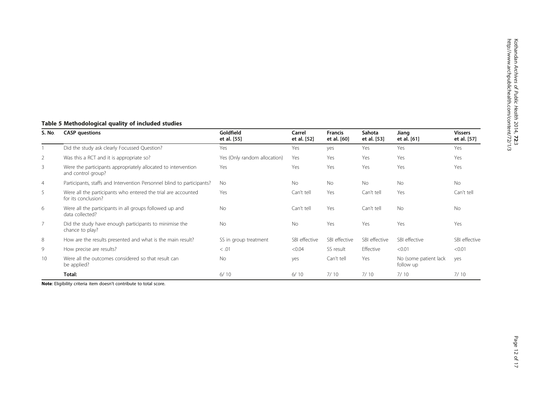# <span id="page-11-0"></span>Table 5 Methodological quality of included studies

| <b>S. No.</b> | <b>CASP</b> questions                                                                | Goldfield<br>et al. [55]     | Carrel<br>et al. [52] | <b>Francis</b><br>et al. [60] | Sahota<br>et al. [53] | Jiang<br>et al. [61]               | <b>Vissers</b><br>et al. [57] |
|---------------|--------------------------------------------------------------------------------------|------------------------------|-----------------------|-------------------------------|-----------------------|------------------------------------|-------------------------------|
|               | Did the study ask clearly Focussed Question?                                         | Yes                          | Yes                   | yes                           | Yes                   | Yes                                | Yes                           |
| 2             | Was this a RCT and it is appropriate so?                                             | Yes (Only random allocation) | Yes                   | Yes                           | Yes                   | Yes                                | Yes                           |
| 3             | Were the participants appropriately allocated to intervention<br>and control group?  | Yes                          | Yes                   | Yes                           | Yes                   | Yes                                | Yes                           |
| 4             | Participants, staffs and Intervention Personnel blind to participants?               | <b>No</b>                    | No.                   | <b>No</b>                     | <b>No</b>             | No.                                | <b>No</b>                     |
| 5             | Were all the participants who entered the trial are accounted<br>for its conclusion? | Yes                          | Can't tell            | Yes                           | Can't tell            | Yes                                | Can't tell                    |
| 6             | Were all the participants in all groups followed up and<br>data collected?           | <b>No</b>                    | Can't tell            | Yes                           | Can't tell            | <b>No</b>                          | <b>No</b>                     |
|               | Did the study have enough participants to minimise the<br>chance to play?            | <b>No</b>                    | No.                   | Yes                           | Yes                   | Yes                                | Yes                           |
| 8             | How are the results presented and what is the main result?                           | SS in group treatment        | SBI effective         | SBI effective                 | SBI effective         | SBI effective                      | SBI effective                 |
| 9             | How precise are results?                                                             | < .01                        | < 0.04                | SS result                     | Effective             | < 0.01                             | < 0.01                        |
| 10            | Were all the outcomes considered so that result can<br>be applied?                   | <b>No</b>                    | yes                   | Can't tell                    | Yes                   | No (some patient lack<br>follow up | yes                           |
|               | Total:                                                                               | 6/10                         | 6/10                  | 7/10                          | 7/10                  | 7/10                               | 7/10                          |

Note: Eligibility criteria item doesn't contribute to total score.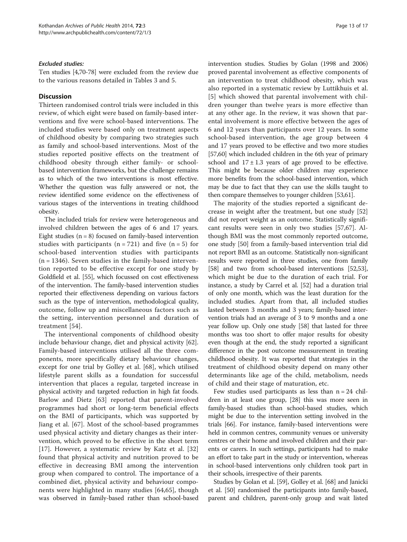#### Excluded studies:

Ten studies [\[4](#page-15-0)[,70](#page-16-0)-[78](#page-16-0)] were excluded from the review due to the various reasons detailed in Tables [3](#page-9-0) and [5](#page-11-0).

# Discussion

Thirteen randomised control trials were included in this review, of which eight were based on family-based interventions and five were school-based interventions. The included studies were based only on treatment aspects of childhood obesity by comparing two strategies such as family and school-based interventions. Most of the studies reported positive effects on the treatment of childhood obesity through either family- or schoolbased intervention frameworks, but the challenge remains as to which of the two interventions is most effective. Whether the question was fully answered or not, the review identified some evidence on the effectiveness of various stages of the interventions in treating childhood obesity.

The included trials for review were heterogeneous and involved children between the ages of 6 and 17 years. Eight studies  $(n = 8)$  focused on family-based intervention studies with participants ( $n = 721$ ) and five ( $n = 5$ ) for school-based intervention studies with participants  $(n = 1346)$ . Seven studies in the family-based intervention reported to be effective except for one study by Goldfield et al. [[55](#page-16-0)], which focussed on cost effectiveness of the intervention. The family-based intervention studies reported their effectiveness depending on various factors such as the type of intervention, methodological quality, outcome, follow up and miscellaneous factors such as the setting, intervention personnel and duration of treatment [[54\]](#page-16-0).

The interventional components of childhood obesity include behaviour change, diet and physical activity [\[62](#page-16-0)]. Family-based interventions utilised all the three components, more specifically dietary behaviour changes, except for one trial by Golley et al. [[68\]](#page-16-0), which utilised lifestyle parent skills as a foundation for successful intervention that places a regular, targeted increase in physical activity and targeted reduction in high fat foods. Barlow and Dietz [\[63](#page-16-0)] reported that parent-involved programmes had short or long-term beneficial effects on the BMI of participants, which was supported by Jiang et al. [\[67](#page-16-0)]. Most of the school-based programmes used physical activity and dietary changes as their intervention, which proved to be effective in the short term [[17\]](#page-15-0). However, a systematic review by Katz et al. [\[32](#page-15-0)] found that physical activity and nutrition proved to be effective in decreasing BMI among the intervention group when compared to control. The importance of a combined diet, physical activity and behaviour components were highlighted in many studies [[64,65](#page-16-0)], though was observed in family-based rather than school-based intervention studies. Studies by Golan (1998 and 2006) proved parental involvement as effective components of an intervention to treat childhood obesity, which was also reported in a systematic review by Luttikhuis et al. [[5](#page-15-0)] which showed that parental involvement with children younger than twelve years is more effective than at any other age. In the review, it was shown that parental involvement is more effective between the ages of 6 and 12 years than participants over 12 years. In some school-based intervention, the age group between 4 and 17 years proved to be effective and two more studies [[57,60](#page-16-0)] which included children in the 6th year of primary school and  $17 \pm 1.3$  years of age proved to be effective. This might be because older children may experience more benefits from the school-based intervention, which may be due to fact that they can use the skills taught to then compare themselves to younger children [[53,61](#page-16-0)].

The majority of the studies reported a significant decrease in weight after the treatment, but one study [[52](#page-16-0)] did not report weight as an outcome. Statistically significant results were seen in only two studies [[57,67\]](#page-16-0). Although BMI was the most commonly reported outcome, one study [\[50\]](#page-15-0) from a family-based intervention trial did not report BMI as an outcome. Statistically non-significant results were reported in three studies, one from family [[58](#page-16-0)] and two from school-based interventions [\[52,53](#page-16-0)], which might be due to the duration of each trial. For instance, a study by Carrel et al. [\[52\]](#page-16-0) had a duration trial of only one month, which was the least duration for the included studies. Apart from that, all included studies lasted between 3 months and 3 years; family-based intervention trials had an average of 3 to 9 months and a one year follow up. Only one study [[58\]](#page-16-0) that lasted for three months was too short to offer major results for obesity even though at the end, the study reported a significant difference in the post outcome measurement in treating childhood obesity. It was reported that strategies in the treatment of childhood obesity depend on many other determinants like age of the child, metabolism, needs of child and their stage of maturation, etc.

Few studies used participants as less than  $n = 24$  children in at least one group, [\[28\]](#page-15-0) this was more seen in family-based studies than school-based studies, which might be due to the intervention setting involved in the trials [[66](#page-16-0)]. For instance, family-based interventions were held in common centres, community venues or university centres or their home and involved children and their parents or carers. In such settings, participants had to make an effort to take part in the study or intervention, whereas in school-based interventions only children took part in their schools, irrespective of their parents.

Studies by Golan et al. [\[59\]](#page-16-0), Golley et al. [\[68\]](#page-16-0) and Janicki et al. [[50](#page-15-0)] randomised the participants into family-based, parent and children, parent-only group and wait listed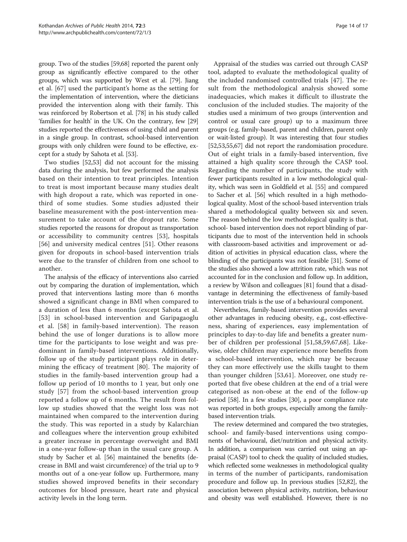group. Two of the studies [\[59,68\]](#page-16-0) reported the parent only group as significantly effective compared to the other groups, which was supported by West et al. [\[79](#page-16-0)]. Jiang et al. [[67\]](#page-16-0) used the participant's home as the setting for the implementation of intervention, where the dieticians provided the intervention along with their family. This was reinforced by Robertson et al. [\[78\]](#page-16-0) in his study called 'families for health' in the UK. On the contrary, few [[29](#page-15-0)] studies reported the effectiveness of using child and parent in a single group. In contrast, school-based intervention groups with only children were found to be effective, except for a study by Sahota et al. [\[53\]](#page-16-0).

Two studies [[52,53\]](#page-16-0) did not account for the missing data during the analysis, but few performed the analysis based on their intention to treat principles. Intention to treat is most important because many studies dealt with high dropout a rate, which was reported in onethird of some studies. Some studies adjusted their baseline measurement with the post-intervention measurement to take account of the dropout rate. Some studies reported the reasons for dropout as transportation or accessibility to community centres [[53\]](#page-16-0), hospitals [[56\]](#page-16-0) and university medical centres [\[51](#page-15-0)]. Other reasons given for dropouts in school-based intervention trials were due to the transfer of children from one school to another.

The analysis of the efficacy of interventions also carried out by comparing the duration of implementation, which proved that interventions lasting more than 6 months showed a significant change in BMI when compared to a duration of less than 6 months (except Sahota et al. [[53](#page-16-0)] in school-based intervention and Garipagaoglu et al. [[58\]](#page-16-0) in family-based intervention). The reason behind the use of longer durations is to allow more time for the participants to lose weight and was predominant in family-based interventions. Additionally, follow up of the study participant plays role in determining the efficacy of treatment [\[80\]](#page-16-0). The majority of studies in the family-based intervention group had a follow up period of 10 months to 1 year, but only one study [[57\]](#page-16-0) from the school-based intervention group reported a follow up of 6 months. The result from follow up studies showed that the weight loss was not maintained when compared to the intervention during the study. This was reported in a study by Kalarchian and colleagues where the intervention group exhibited a greater increase in percentage overweight and BMI in a one-year follow-up than in the usual care group. A study by Sacher et al. [[56](#page-16-0)] maintained the benefits (decrease in BMI and waist circumference) of the trial up to 9 months out of a one-year follow up. Furthermore, many studies showed improved benefits in their secondary outcomes for blood pressure, heart rate and physical activity levels in the long term.

Appraisal of the studies was carried out through CASP tool, adapted to evaluate the methodological quality of the included randomised controlled trials [[47](#page-15-0)]. The result from the methodological analysis showed some inadequacies, which makes it difficult to illustrate the conclusion of the included studies. The majority of the studies used a minimum of two groups (intervention and control or usual care group) up to a maximum three groups (e.g. family-based, parent and children, parent only or wait-listed group). It was interesting that four studies [[52,53,55,67](#page-16-0)] did not report the randomisation procedure. Out of eight trials in a family-based intervention, five attained a high quality score through the CASP tool. Regarding the number of participants, the study with fewer participants resulted in a low methodological quality, which was seen in Goldfield et al. [\[55](#page-16-0)] and compared to Sacher et al. [[56](#page-16-0)] which resulted in a high methodological quality. Most of the school-based intervention trials shared a methodological quality between six and seven. The reason behind the low methodological quality is that, school- based intervention does not report blinding of participants due to most of the intervention held in schools with classroom-based activities and improvement or addition of activities in physical education class, where the blinding of the participants was not feasible [\[31\]](#page-15-0). Some of the studies also showed a low attrition rate, which was not accounted for in the conclusion and follow up. In addition, a review by Wilson and colleagues [[81](#page-16-0)] found that a disadvantage in determining the effectiveness of family-based intervention trials is the use of a behavioural component.

Nevertheless, family-based intervention provides several other advantages in reducing obesity, e.g., cost-effectiveness, sharing of experiences, easy implementation of principles to day-to-day life and benefits a greater number of children per professional [\[51](#page-15-0),[58,59,67](#page-16-0),[68\]](#page-16-0). Likewise, older children may experience more benefits from a school-based intervention, which may be because they can more effectively use the skills taught to them than younger children [[53,61](#page-16-0)]. Moreover, one study reported that five obese children at the end of a trial were categorised as non-obese at the end of the follow-up period [[58](#page-16-0)]. In a few studies [\[30\]](#page-15-0), a poor compliance rate was reported in both groups, especially among the familybased intervention trials.

The review determined and compared the two strategies, school- and family-based interventions using components of behavioural, diet/nutrition and physical activity. In addition, a comparison was carried out using an appraisal (CASP) tool to check the quality of included studies, which reflected some weaknesses in methodological quality in terms of the number of participants, randomisation procedure and follow up. In previous studies [[52,82](#page-16-0)], the association between physical activity, nutrition, behaviour and obesity was well established. However, there is no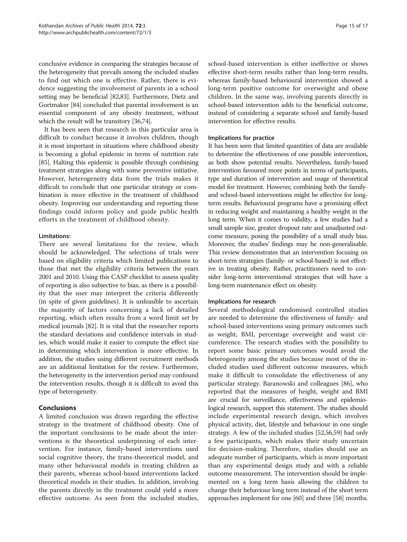conclusive evidence in comparing the strategies because of the heterogeneity that prevails among the included studies to find out which one is effective. Rather, there is evidence suggesting the involvement of parents in a school setting may be beneficial [\[82,83\]](#page-16-0). Furthermore, Dietz and Gortmaker [[84](#page-16-0)] concluded that parental involvement is an essential component of any obesity treatment, without which the result will be transitory [\[36,](#page-15-0)[74\]](#page-16-0).

It has been seen that research in this particular area is difficult to conduct because it involves children, though it is most important in situations where childhood obesity is becoming a global epidemic in terms of nutrition rate [[85](#page-16-0)]. Halting this epidemic is possible through combining treatment strategies along with some preventive initiative. However, heterogeneity data from the trials makes it difficult to conclude that one particular strategy or combination is more effective in the treatment of childhood obesity. Improving our understanding and reporting these findings could inform policy and guide public health efforts in the treatment of childhood obesity.

#### Limitations:

There are several limitations for the review, which should be acknowledged. The selections of trials were based on eligibility criteria which limited publications to those that met the eligibility criteria between the years 2001 and 2010. Using this CASP checklist to assess quality of reporting is also subjective to bias, as there is a possibility that the user may interpret the criteria differently (in spite of given guidelines). It is unfeasible to ascertain the majority of factors concerning a lack of detailed reporting, which often results from a word limit set by medical journals [[82](#page-16-0)]. It is vital that the researcher reports the standard deviations and confidence intervals in studies, which would make it easier to compute the effect size in determining which intervention is more effective. In addition, the studies using different recruitment methods are an additional limitation for the review. Furthermore, the heterogeneity in the intervention period may confound the intervention results, though it is difficult to avoid this type of heterogeneity.

#### Conclusions

A limited conclusion was drawn regarding the effective strategy in the treatment of childhood obesity. One of the important conclusions to be made about the interventions is the theoretical underpinning of each intervention. For instance, family-based interventions used social cognitive theory, the trans-theoretical model, and many other behavioural models in treating children as their parents, whereas school-based interventions lacked theoretical models in their studies. In addition, involving the parents directly in the treatment could yield a more effective outcome. As seen from the included studies, school-based intervention is either ineffective or shows effective short-term results rather than long-term results, whereas family-based behavioural intervention showed a long-term positive outcome for overweight and obese children. In the same way, involving parents directly in school-based intervention adds to the beneficial outcome, instead of considering a separate school and family-based intervention for effective results.

#### Implications for practice

It has been seen that limited quantities of data are available to determine the effectiveness of one possible intervention, as both show potential results. Nevertheless, family-based intervention favoured more points in terms of participants, type and duration of intervention and usage of theoretical model for treatment. However, combining both the familyand school-based interventions might be effective for longterm results. Behavioural programs have a promising effect in reducing weight and maintaining a healthy weight in the long term. When it comes to validity, a few studies had a small sample size, greater dropout rate and unadjusted outcome measure, posing the possibility of a small study bias. Moreover, the studies' findings may be non-generalisable. This review demonstrates that an intervention focusing on short-term strategies (family- or school-based) is not effective in treating obesity. Rather, practitioners need to consider long-term interventional strategies that will have a long-term maintenance effect on obesity.

#### Implications for research

Several methodological randomised controlled studies are needed to determine the effectiveness of family- and school-based interventions using primary outcomes such as weight, BMI, percentage overweight and waist circumference. The research studies with the possibility to report some basic primary outcomes would avoid the heterogeneity among the studies because most of the included studies used different outcome measures, which make it difficult to consolidate the effectiveness of any particular strategy. Baranowski and colleagues [[86](#page-16-0)], who reported that the measures of height, weight and BMI are crucial for surveillance, effectiveness and epidemiological research, support this statement. The studies should include experimental research design, which involves physical activity, diet, lifestyle and behaviour in one single strategy. A few of the included studies [[52,56,59\]](#page-16-0) had only a few participants, which makes their study uncertain for decision-making. Therefore, studies should use an adequate number of participants, which is more important than any experimental design study and with a reliable outcome measurement. The intervention should be implemented on a long term basis allowing the children to change their behaviour long term instead of the short term approaches implement for one [\[60\]](#page-16-0) and three [[58](#page-16-0)] months.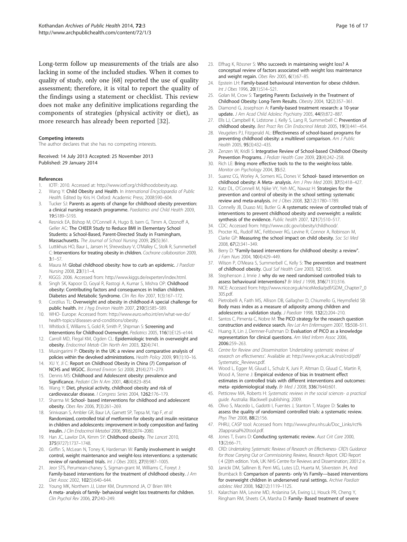<span id="page-15-0"></span>Long-term follow up measurements of the trials are also lacking in some of the included studies. When it comes to quality of study, only one [\[68](#page-16-0)] reported the use of quality assessment; therefore, it is vital to report the quality of the findings using a statement or checklist. This review does not make any definitive implications regarding the components of strategies (physical activity or diet), as more research has already been reported [32].

#### Competing interests

The author declares that she has no competing interests.

Received: 14 July 2013 Accepted: 25 November 2013 Published: 29 January 2014

#### References

- 1. IOTF: 2010. Accessed at:<http://www.iotf.org/childhoodobesity.asp>.
- Wang Y: Child Obesity and Health. In International Encyclopaedia of Public Health. Edited by Kris H. Oxford: Academic Press; 2008:590–604.
- 3. Tucker SJ: Parents as agents of change for childhood obesity prevention: a clinical nursing research programme. Paediatrics and Child Health 2009, 19:S189–S193.
- Resnick EA, Bishop M, O'Connell A, Hugo B, Isern G, Timm A, Ozonoff A, Geller AC: The CHEER Study to Reduce BMI in Elementary School Students: a School-Based, Parent-Directed Study in Framingham, Massachusetts. The Journal of School Nursing 2009, 25(5):361.
- 5. Luttikhuis HO, Baur L, Jansen H, Shrewsbury V, O'Malley C, Stolk R, Summerbell C: Interventions for treating obesity in children. Cochrane collaboration 2009,  $3:1 - 57$
- 6. Maura M: Global childhood obesity: how to curb an epidemic. J Paediatr Nursing 2008, 23(1):1–4.
- 7. KIGGS: 2006. Accessed from: [http://www.kiggs.de/experten/index.html.](http://www.kiggs.de/experten/index.html)
- 8. Singh SK, Kapoor D, Goyal R, Rastogi A, Kumar S, Mishra OP: Childhood obesity: Contributing factors and consequences in Indian children. Diabetes and Metabolic Syndrome. Clin Res Rev 2007, 1(3):167–172.
- Corzilius TL: Overweight and obesity in childhood-A special challenge for public health. Int J hyg Environ Health 2007, 210(5):585-589.
- 10. WHO- Europe: Accessed from: [http://www.euro.who.int/en/what-we-do/](http://www.euro.who.int/en/what-we-do/health-topics/diseases-and-conditions/obesity) [health-topics/diseases-and-conditions/obesity.](http://www.euro.who.int/en/what-we-do/health-topics/diseases-and-conditions/obesity)
- 11. Whitlock E, Williams S, Gold R, Smith P, Shipman S: Screening and Interventions for Childhood Overweight. Pediatrics 2005, 116(1):E125–e144.
- 12. Carroll MD, Flegal KM, Ogden CL: Epidemiologic trends in overweight and obesity. Endocrinol Metab Clin North Am 2003, 32(4):741.
- 13. Musingarimi P: Obesity in the UK: a review and comparative analysis of policies within the devolved administrations. Health Policy 2009, 91(1):10-16.
- 14. XU Y, JI C: Report on Childhood Obesity in China (7) Comparison of NCHS and WGOC. Biomed Environ Sci 2008, 21(4):271–279.
- 15. Dennis MS: Childhood and Adolescent obesity: prevalence and Significance. Pediatri Clin N Am 2001, 48(4):823–854.
- 16. Wang Y: Diet, physical activity, childhood obesity and risk of cardiovascular disease. I Congress Series 2004, 1262:176–179.
- 17. Sharma M: School- based interventions for childhood and adolescent obesity. Obes Rev 2006, 7(3):261–269.
- 18. Srinivasan S, Ambler GR, Baur LA, Garnett SP, Tepsa M, Yap F, et al: Randomized, controlled trial of metformin for obesity and insulin resistance in children and adolescents: improvement in body composition and fasting insulin. J Clin Endocrinol Metabol 2006, 91(6):2074–2080.
- 19. Han JC, Lawlor DA, Kimm SY: Childhood obesity. The Lancet 2010, 375(9727):1737–1748.
- 20. Griffin S, McLean N, Toney K, Hardeman W: Family involvement in weight control, weight maintenance and weight-loss interventions: a systematic review of randomised trials. Int J Obes 2003, 27(9):987–1005.
- 21. Jeor STS, Perumean-chaney S, Sigman-grant M, Williams C, Foreyt J: Family-based interventions for the treatment of childhood obesity. J Am Diet Assoc 2002, 102(5):640–644.
- 22. Young MK, Northern JJ, Lister KM, Drummond JA, O' Brien WH: A meta- analysis of family- behavioral weight loss treatments for children. Clin Psychol Rev 2006, 27:240–249.
- 
- 23. Elfhag K, Rössner S: Who succeeds in maintaining weight loss? A conceptual review of factors associated with weight loss maintenance and weight regain. Obes Rev 2005, 6(1):67-85.
- 24. Epstein LH: Family-based behavioural intervention for obese children. Int J Obes 1996, 20(1):S14-S21.
- 25. Golan M, Crow S: Targeting Parents Exclusively in the Treatment of Childhood Obesity: Long-Term Results. Obesity 2004, 12(2):357–361.
- 26. Diamond G, Josephson A: Family-based treatment research: a 10-year update. J Am Acad Child Adolesc Psychiatry 2005, 44(9):872–887.
- 27. Ells LJ, Campbell K, Lidstone J, Kelly S, Lang R, Summerbell C: Prevention of childhood obesity. Best Pract Res Clin Endocrinol Metab 2005, 19(3):441–454.
- 28. Veugelers PJ, Fitzgerald AL: Effectiveness of school-based programs for preventing childhood obesity: a multilevel comparison. Am J Public Health 2005, 95(3):432–435.
- 29. Zenzen W, Kridli S: Integrative Review of School-based Childhood Obesity Prevention Programs. J Pediatr Health Care 2009, 23(4):242-258.
- 30. Rich LE: Bring more effective tools to the to the weight-loss table. Monitor on Psychology 2004, 35:52.
- 31. Suarez CG, Worley A, Somers KG, Dones V: School- based intervention on childhood obesity: A Meta- analysis. Am J Prev Med 2009, 37(5):418–427.
- 32. Katz DL, O'Connell M, Njike VY, Yeh MC, Nawaz H: Strategies for the prevention and control of obesity in the school setting: systematic review and meta-analysis. Int J Obes 2008, 32(12):1780–1789.
- 33. Connelly JB, Duaso MJ, Butler G: A systematic review of controlled trials of interventions to prevent childhood obesity and overweight: a realistic synthesis of the evidence. Public health 2007, 121(7):510–517.
- 34. CDC: Accessed from:<http://www.cdc.gov/obesity/childhood/>.
- 35. Procter KL, Rudolf MC, Feltbower RG, Levine R, Connor A, Robinson M, Clarke GP: Measuring the school impact on child obesity. Soc Sci Med 2008, 67(2):341–349.
- 36. Berry D: "Family-based interventions for childhood obesity: a review". J Fam Nurs 2004, 10(4):429–449.
- 37. Wilson P, O'Meara S, Summerbell C, Kelly S: The prevention and treatment of childhood obesity. Qual Saf Health Care 2003, 12(1):65.
- 38. Stephenson J, Imrie J: why do we need randomised controlled trials to assess behavioural interventions? Br Med J 1998, 316(7131):316.
- 39. NICE: Accessed from: [http://www.nice.org.uk/niceMedia/pdf/GDM\\_Chapter7\\_0](http://www.nice.org.uk/niceMedia/pdf/GDM_Chapter7_0305.pdf) [305.pdf](http://www.nice.org.uk/niceMedia/pdf/GDM_Chapter7_0305.pdf).
- 40. Pietrobelli A, Faith MS, Allison DB, Gallagher D, Chiumello G, Heymsfield SB: Body mass index as a measure of adiposity among children and adolescents: a validation study. J Paediatr 1998, 132(2):204–210.
- 41. Santos C, Pimenta C, Nobre M: The PICO strategy for the research question construction and evidence search. Rev Lat Am Enfermagem 2007, 15:508–511.
- 42. Huang X, Lin J, Demner-Fushman D: Evaluation of PICO as a knowledge representation for clinical questions. Am Med Inform Assoc 2006, 2006:259–263.
- 43. Centre for Review and Dissemination 'Undertaking systematic reviews of research on effectiveness'. Available at: [http://www.york.ac.uk/inst/crd/pdf/](http://www.york.ac.uk/inst/crd/pdf/Systematic_Reviews.pdf) [Systematic\\_Reviews.pdf](http://www.york.ac.uk/inst/crd/pdf/Systematic_Reviews.pdf).
- 44. Wood L, Egger M, Gluud L, Schulz K, Juni P, Altman D, Gluud C, Martin R, Wood A, Sterne J: Empirical evidence of bias in treatment effect estimates in controlled trials with different interventions and outcomes: meta- epidemiological study. Br Med J 2008, 336(7644):601.
- 45. Petticrew MA, Roberts H: Systematic reviews in the social sciences- a practical guide. Australia: Blackwell publishing; 2009.
- 46. Olivo S, Macedo L, Gadotti I, Fuentes J, Stanton T, Magee D: Scales to assess the quality of randomized controlled trials: a systematic review. Phys Ther 2008, 88(2):156.
- 47. PHRU, CASP tool: Accessed from: [http://www.phru.nhs.uk/Doc\\_Links/rct%](http://www.phru.nhs.uk/Doc_Links/rct%20appraisal%20tool.pdf) [20appraisal%20tool.pdf](http://www.phru.nhs.uk/Doc_Links/rct%20appraisal%20tool.pdf).
- 48. Jones T, Evans D: Conducting systematic review. Aust Crit Care 2000, 13(2):66–71.
- 49. CRD: Undertaking Systematic Reviews of Research on Effectiveness- CRD's Guidance for those Carrying Out or Commissioning Reviews, Research Report. CRD Report ( 4 (2))th edition. York, UK: NHS Centre for Reviews and Dissemination; 2001:2 e.
- 50. Janicki DM, Sallinen B, Perri MG, Lutes LD, Huerta M, Silverstein JH, And Brumback B: Comparison of parents- only Vs Family—based interventions for overweight children in underserved rural settings. Archive Paediatr adolesc Med 2008, 162(12):1119–1125.
- 51. Kalarchian MA, Levine MD, Arslanina SA, Ewing LJ, Houck PR, Cheng Y, Ringham RM, Sheets CA, Marsha D: Family- Based treatment of severe